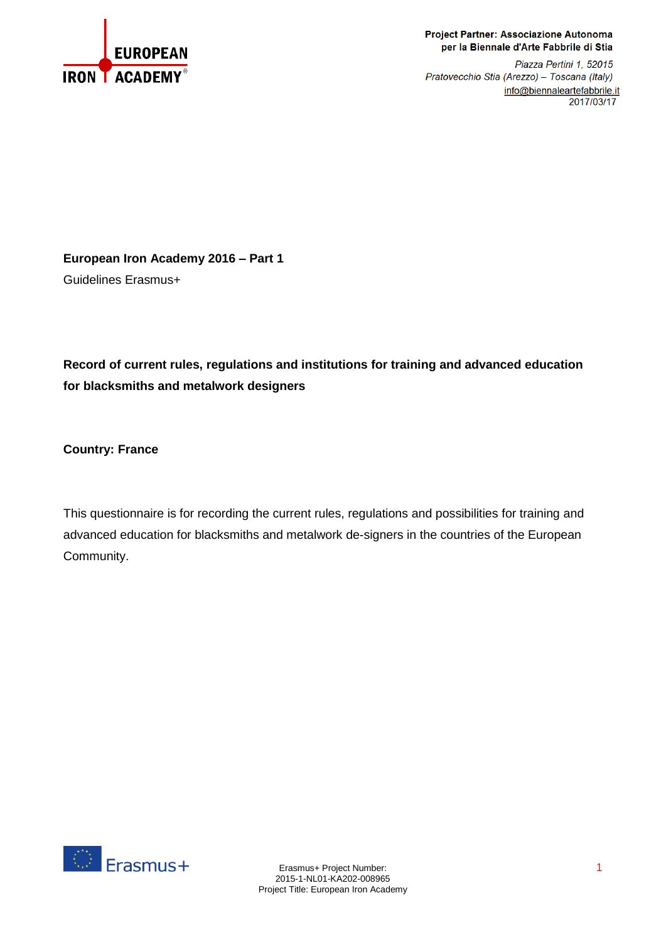

## Project Partner: Associazione Autonoma per la Biennale d'Arte Fabbrile di Stia

Piazza Pertini 1, 52015 Pratovecchio Stia (Arezzo) - Toscana (Italy) info@biennaleartefabbrile.it 2017/03/17

**European Iron Academy 2016 – Part 1** Guidelines Erasmus+

**Record of current rules, regulations and institutions for training and advanced education for blacksmiths and metalwork designers**

**Country: France**

This questionnaire is for recording the current rules, regulations and possibilities for training and advanced education for blacksmiths and metalwork de-signers in the countries of the European Community.

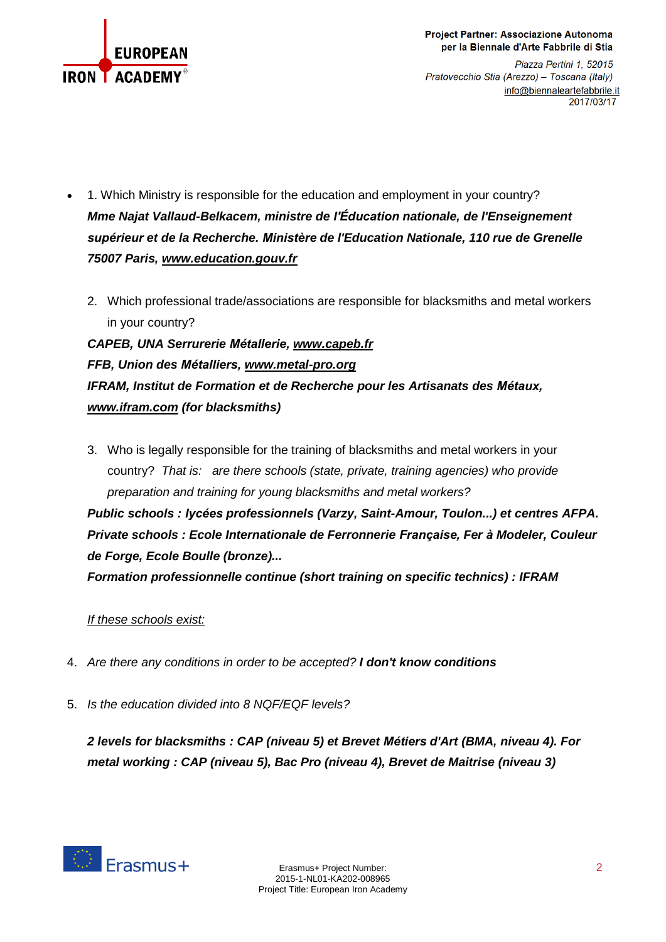

Piazza Pertini 1, 52015 Pratovecchio Stia (Arezzo) - Toscana (Italy) info@biennaleartefabbrile.it 2017/03/17

- 1. Which Ministry is responsible for the education and employment in your country? *Mme Najat Vallaud-Belkacem, ministre de l'Éducation nationale, de l'Enseignement supérieur et de la Recherche. Ministère de l'Education Nationale, 110 rue de Grenelle 75007 Paris, [www.education.gouv.fr](http://www.education.gouv.fr/)*
	- 2. Which professional trade/associations are responsible for blacksmiths and metal workers in your country?

*CAPEB, UNA Serrurerie Métallerie, [www.capeb.fr](http://www.capeb.fr/) FFB, Union des Métalliers, [www.metal-pro.org](http://www.metal-pro.org/) IFRAM, Institut de Formation et de Recherche pour les Artisanats des Métaux, [www.ifram.com](http://www.ifram.com/) (for blacksmiths)*

3. Who is legally responsible for the training of blacksmiths and metal workers in your country? *That is: are there schools (state, private, training agencies) who provide preparation and training for young blacksmiths and metal workers? Public schools : lycées professionnels (Varzy, Saint-Amour, Toulon...) et centres AFPA. Private schools : Ecole Internationale de Ferronnerie Française, Fer à Modeler, Couleur de Forge, Ecole Boulle (bronze)... Formation professionnelle continue (short training on specific technics) : IFRAM*

## *If these schools exist:*

- 4. *Are there any conditions in order to be accepted? I don't know conditions*
- 5. *Is the education divided into 8 NQF/EQF levels?*

*2 levels for blacksmiths : CAP (niveau 5) et Brevet Métiers d'Art (BMA, niveau 4). For metal working : CAP (niveau 5), Bac Pro (niveau 4), Brevet de Maitrise (niveau 3)*